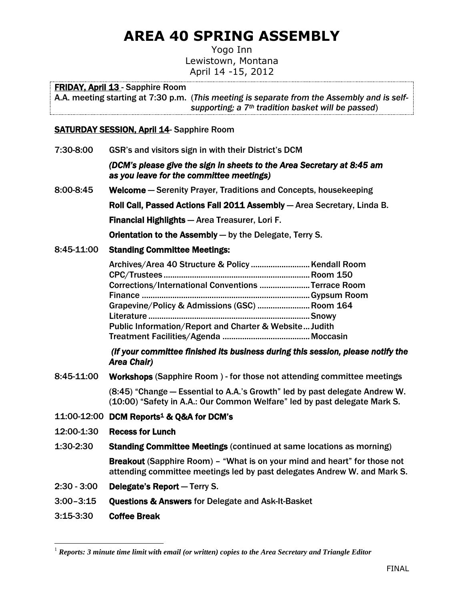# **AREA 40 SPRING ASSEMBLY**

Yogo Inn Lewistown, Montana April 14 -15, 2012

# FRIDAY, April 13 - Sapphire Room

A.A. meeting starting at 7:30 p.m. (*This meeting is separate from the Assembly and is selfsupporting; a 7th tradition basket will be passed*)

# SATURDAY SESSION, April 14- Sapphire Room

7:30-8:00 GSR's and visitors sign in with their District's DCM

## *(DCM's please give the sign in sheets to the Area Secretary at 8:45 am as you leave for the committee meetings)*

8:00-8:45 Welcome ― Serenity Prayer, Traditions and Concepts, housekeeping Roll Call, Passed Actions Fall 2011 Assembly ― Area Secretary, Linda B. Financial Highlights ― Area Treasurer, Lori F.

Orientation to the Assembly ― by the Delegate, Terry S.

# 8:45-11:00 Standing Committee Meetings:

| Corrections/International Conventions Terrace Room     |  |
|--------------------------------------------------------|--|
|                                                        |  |
| Grapevine/Policy & Admissions (GSC)  Room 164          |  |
|                                                        |  |
| Public Information/Report and Charter & Website Judith |  |
|                                                        |  |

 *(If your committee finished its business during this session, please notify the Area Chair)* 

8:45-11:00 Workshops (Sapphire Room ) - for those not attending committee meetings

<span id="page-0-0"></span>(8:45) "Change ― Essential to A.A.'s Growth" led by past delegate Andrew W. (10:00) "Safety in A.A.: Our Common Welfare" led by past delegate Mark S.

- 11:00-12:00 DCM Reports<sup>1</sup> & Q&A for DCM's
- 12:00-1:30 Recess for Lunch
- 1:30-2:30 Standing Committee Meetings (continued at same locations as morning)

Breakout (Sapphire Room) – "What is on your mind and heart" for those not attending committee meetings led by past delegates Andrew W. and Mark S.

- 2:30 3:00 Delegate's Report ― Terry S.
- 3:00–3:15 Questions & Answers for Delegate and Ask-It-Basket
- 3:15-3:30 Coffee Break

 $\overline{a}$ 

<sup>1</sup> *Reports: 3 minute time limit with email (or written) copies to the Area Secretary and Triangle Editor*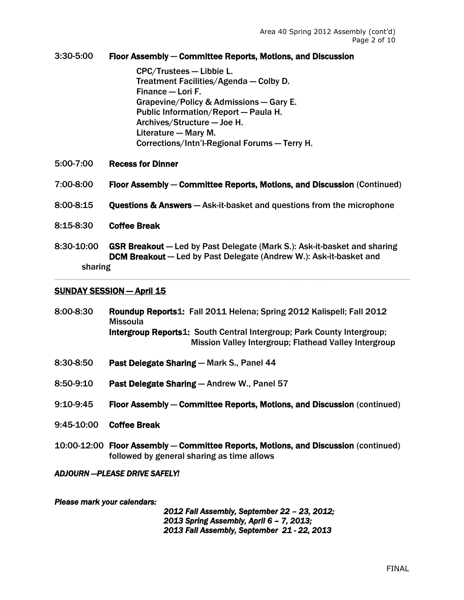## 3:30-5:00 Floor Assembly ― Committee Reports, Motions, and Discussion

CPC/Trustees ― Libbie L. Treatment Facilities/Agenda ― Colby D. Finance ― Lori F. Grapevine/Policy & Admissions ― Gary E. Public Information/Report ― Paula H. Archives/Structure ― Joe H. Literature ― Mary M. Corrections/Intn'l-Regional Forums ― Terry H.

- 5:00-7:00 Recess for Dinner
- 7:00-8:00 Floor Assembly ― Committee Reports, Motions, and Discussion (Continued)
- 8:00-8:15 Questions & Answers ― Ask-it-basket and questions from the microphone
- 8:15-8:30 Coffee Break
- 8:30-10:00 GSR Breakout ― Led by Past Delegate (Mark S.): Ask-it-basket and sharing DCM Breakout ― Led by Past Delegate (Andrew W.): Ask-it-basket and sharing

#### **SUNDAY SESSION — April 15**

- 8:00-8:30 Roundup Report[s1:](#page-0-0) Fall 2011 Helena; Spring 2012 Kalispell; Fall 2012 Missoula Intergroup Report[s1:](#page-0-0) South Central Intergroup; Park County Intergroup; Mission Valley Intergroup; Flathead Valley Intergroup
- 8:30-8:50 Past Delegate Sharing ― Mark S., Panel 44
- 8:50-9:10 Past Delegate Sharing ― Andrew W., Panel 57
- 9:10-9:45 Floor Assembly ― Committee Reports, Motions, and Discussion (continued)
- 9:45-10:00 Coffee Break
- 10:00-12:00 Floor Assembly ― Committee Reports, Motions, and Discussion (continued) followed by general sharing as time allows

#### *ADJOURN ―PLEASE DRIVE SAFELY!*

#### *Please mark your calendars:*

*2012 Fall Assembly, September 22 – 23, 2012; 2013 Spring Assembly, April 6 – 7, 2013; 2013 Fall Assembly, September 21 - 22, 2013*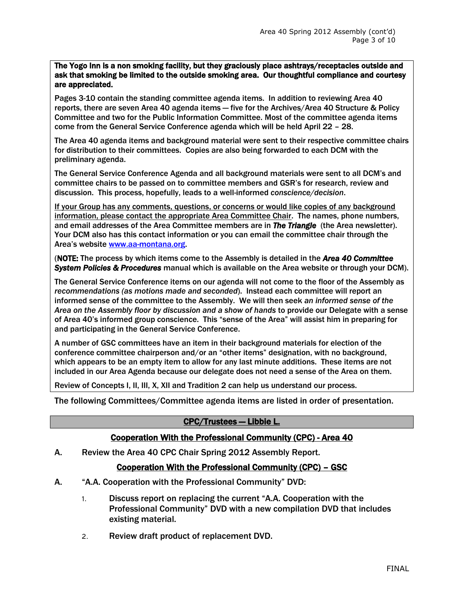The Yogo Inn is a non smoking facility, but they graciously place ashtrays/receptacles outside and ask that smoking be limited to the outside smoking area. Our thoughtful compliance and courtesy are appreciated.

Pages 3-10 contain the standing committee agenda items. In addition to reviewing Area 40 reports, there are seven Area 40 agenda items - five for the Archives/Area 40 Structure & Policy Committee and two for the Public Information Committee. Most of the committee agenda items come from the General Service Conference agenda which will be held April 22 – 28.

The Area 40 agenda items and background material were sent to their respective committee chairs for distribution to their committees. Copies are also being forwarded to each DCM with the preliminary agenda.

The General Service Conference Agenda and all background materials were sent to all DCM's and committee chairs to be passed on to committee members and GSR's for research, review and discussion. This process, hopefully, leads to a well-informed *conscience/decision*.

If your Group has any comments, questions, or concerns or would like copies of any background information, please contact the appropriate Area Committee Chair. The names, phone numbers, and email addresses of the Area Committee members are in *The Triangle* (the Area newsletter). Your DCM also has this contact information or you can email the committee chair through the Area's website [www.aa-montana.org.](http://www.aa-montana.org/)

(NOTE: The process by which items come to the Assembly is detailed in the *Area 40 Committee System Policies & Procedures* manual which is available on the Area website or through your DCM).

The General Service Conference items on our agenda will not come to the floor of the Assembly as *recommendations (as motions made and seconded*). Instead each committee will report an informed sense of the committee to the Assembly. We will then seek *an informed sense of the Area on the Assembly floor by discussion and a show of hands* to provide our Delegate with a sense of Area 40's informed group conscience. This "sense of the Area" will assist him in preparing for and participating in the General Service Conference.

A number of GSC committees have an item in their background materials for election of the conference committee chairperson and/or an "other items" designation, with no background, which appears to be an empty item to allow for any last minute additions. These items are not included in our Area Agenda because our delegate does not need a sense of the Area on them.

Review of Concepts I, II, III, X, XII and Tradition 2 can help us understand our process.

The following Committees/Committee agenda items are listed in order of presentation.

## CPC/Trustees ― Libbie L.

#### Cooperation With the Professional Community (CPC) - Area 40

A. Review the Area 40 CPC Chair Spring 2012 Assembly Report.

# Cooperation With the Professional Community (CPC) – GSC

- A. "A.A. Cooperation with the Professional Community" DVD:
	- 1. Discuss report on replacing the current "A.A. Cooperation with the Professional Community" DVD with a new compilation DVD that includes existing material.
	- 2. Review draft product of replacement DVD.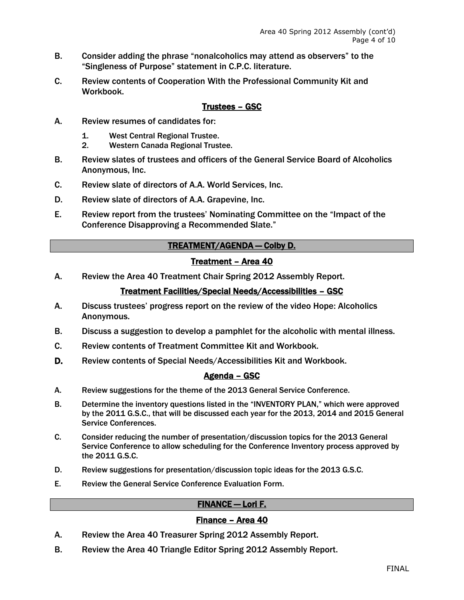- B. Consider adding the phrase "nonalcoholics may attend as observers" to the "Singleness of Purpose" statement in C.P.C. literature.
- C. Review contents of Cooperation With the Professional Community Kit and Workbook.

## Trustees – GSC

- A. Review resumes of candidates for:
	- 1. West Central Regional Trustee.
	- 2. Western Canada Regional Trustee.
- B. Review slates of trustees and officers of the General Service Board of Alcoholics Anonymous, Inc.
- C. Review slate of directors of A.A. World Services, Inc.
- D. Review slate of directors of A.A. Grapevine, Inc.
- E. Review report from the trustees' Nominating Committee on the "Impact of the Conference Disapproving a Recommended Slate."

# TREATMENT/AGENDA ― Colby D.

# Treatment – Area 40

A. Review the Area 40 Treatment Chair Spring 2012 Assembly Report.

# Treatment Facilities/Special Needs/Accessibilities – GSC

- A. Discuss trustees' progress report on the review of the video Hope: Alcoholics Anonymous.
- B. Discuss a suggestion to develop a pamphlet for the alcoholic with mental illness.
- C. Review contents of Treatment Committee Kit and Workbook.
- D. Review contents of Special Needs/Accessibilities Kit and Workbook.

## Agenda – GSC

- A. Review suggestions for the theme of the 2013 General Service Conference.
- B. Determine the inventory questions listed in the "INVENTORY PLAN," which were approved by the 2011 G.S.C., that will be discussed each year for the 2013, 2014 and 2015 General Service Conferences.
- C. Consider reducing the number of presentation/discussion topics for the 2013 General Service Conference to allow scheduling for the Conference Inventory process approved by the 2011 G.S.C.
- D. Review suggestions for presentation/discussion topic ideas for the 2013 G.S.C.
- E. Review the General Service Conference Evaluation Form.

# FINANCE ― Lori F.

# Finance – Area 40

- A. Review the Area 40 Treasurer Spring 2012 Assembly Report.
- B. Review the Area 40 Triangle Editor Spring 2012 Assembly Report.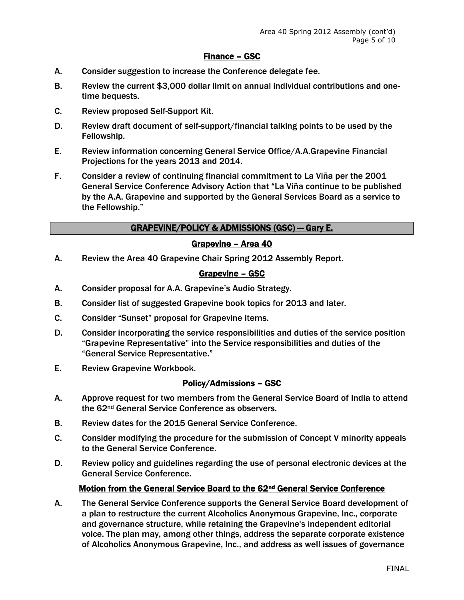## Finance – GSC

- A. Consider suggestion to increase the Conference delegate fee.
- B. Review the current \$3,000 dollar limit on annual individual contributions and onetime bequests.
- C. Review proposed Self-Support Kit.
- D. Review draft document of self-support/financial talking points to be used by the Fellowship.
- E. Review information concerning General Service Office/A.A.Grapevine Financial Projections for the years 2013 and 2014.
- F. Consider a review of continuing financial commitment to La Viña per the 2001 General Service Conference Advisory Action that "La Viña continue to be published by the A.A. Grapevine and supported by the General Services Board as a service to the Fellowship."

## GRAPEVINE/POLICY & ADMISSIONS (GSC) ― Gary E.

#### Grapevine – Area 40

A. Review the Area 40 Grapevine Chair Spring 2012 Assembly Report.

#### Grapevine – GSC

- A. Consider proposal for A.A. Grapevine's Audio Strategy.
- B. Consider list of suggested Grapevine book topics for 2013 and later.
- C. Consider "Sunset" proposal for Grapevine items.
- D. Consider incorporating the service responsibilities and duties of the service position "Grapevine Representative" into the Service responsibilities and duties of the "General Service Representative."
- E. Review Grapevine Workbook.

## Policy/Admissions – GSC

- A. Approve request for two members from the General Service Board of India to attend the 62nd General Service Conference as observers.
- B. Review dates for the 2015 General Service Conference.
- C. Consider modifying the procedure for the submission of Concept V minority appeals to the General Service Conference.
- D. Review policy and guidelines regarding the use of personal electronic devices at the General Service Conference.

#### Motion from the General Service Board to the 62<sup>nd</sup> General Service Conference

A. The General Service Conference supports the General Service Board development of a plan to restructure the current Alcoholics Anonymous Grapevine, Inc., corporate and governance structure, while retaining the Grapevine's independent editorial voice. The plan may, among other things, address the separate corporate existence of Alcoholics Anonymous Grapevine, Inc., and address as well issues of governance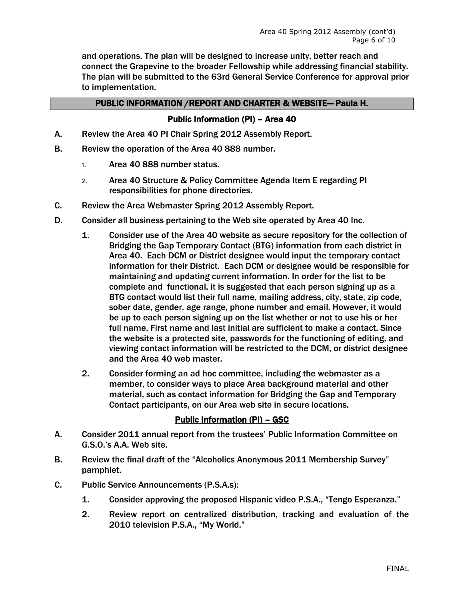and operations. The plan will be designed to increase unity, better reach and connect the Grapevine to the broader Fellowship while addressing financial stability. The plan will be submitted to the 63rd General Service Conference for approval prior to implementation.

## PUBLIC INFORMATION /REPORT AND CHARTER & WEBSITE― Paula H.

## Public Information (PI) – Area 40

- A. Review the Area 40 PI Chair Spring 2012 Assembly Report.
- B. Review the operation of the Area 40 888 number.
	- 1. Area 40 888 number status.
	- 2. Area 40 Structure & Policy Committee Agenda Item E regarding PI responsibilities for phone directories.
- C. Review the Area Webmaster Spring 2012 Assembly Report.
- D. Consider all business pertaining to the Web site operated by Area 40 Inc.
	- 1. Consider use of the Area 40 website as secure repository for the collection of Bridging the Gap Temporary Contact (BTG) information from each district in Area 40. Each DCM or District designee would input the temporary contact information for their District. Each DCM or designee would be responsible for maintaining and updating current information. In order for the list to be complete and functional, it is suggested that each person signing up as a BTG contact would list their full name, mailing address, city, state, zip code, sober date, gender, age range, phone number and email. However, it would be up to each person signing up on the list whether or not to use his or her full name. First name and last initial are sufficient to make a contact. Since the website is a protected site, passwords for the functioning of editing, and viewing contact information will be restricted to the DCM, or district designee and the Area 40 web master.
	- 2. Consider forming an ad hoc committee, including the webmaster as a member, to consider ways to place Area background material and other material, such as contact information for Bridging the Gap and Temporary Contact participants, on our Area web site in secure locations.

## Public Information (PI) – GSC

- A. Consider 2011 annual report from the trustees' Public Information Committee on G.S.O.'s A.A. Web site.
- B. Review the final draft of the "Alcoholics Anonymous 2011 Membership Survey" pamphlet.
- C. Public Service Announcements (P.S.A.s):
	- 1. Consider approving the proposed Hispanic video P.S.A., "Tengo Esperanza."
	- 2. Review report on centralized distribution, tracking and evaluation of the 2010 television P.S.A., "My World."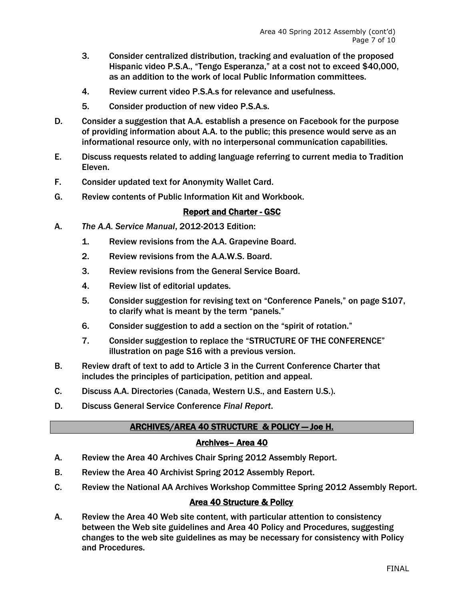- 3. Consider centralized distribution, tracking and evaluation of the proposed Hispanic video P.S.A., "Tengo Esperanza," at a cost not to exceed \$40,000, as an addition to the work of local Public Information committees.
- 4. Review current video P.S.A.s for relevance and usefulness.
- 5. Consider production of new video P.S.A.s.
- D. Consider a suggestion that A.A. establish a presence on Facebook for the purpose of providing information about A.A. to the public; this presence would serve as an informational resource only, with no interpersonal communication capabilities.
- E. Discuss requests related to adding language referring to current media to Tradition Eleven.
- F. Consider updated text for Anonymity Wallet Card.
- G. Review contents of Public Information Kit and Workbook.

## Report and Charter - GSC

- A. *The A.A. Service Manual*, 2012-2013 Edition:
	- 1. Review revisions from the A.A. Grapevine Board.
	- 2. Review revisions from the A.A.W.S. Board.
	- 3. Review revisions from the General Service Board.
	- 4. Review list of editorial updates.
	- 5. Consider suggestion for revising text on "Conference Panels," on page S107, to clarify what is meant by the term "panels."
	- 6. Consider suggestion to add a section on the "spirit of rotation."
	- 7. Consider suggestion to replace the "STRUCTURE OF THE CONFERENCE" illustration on page S16 with a previous version.
- B. Review draft of text to add to Article 3 in the Current Conference Charter that includes the principles of participation, petition and appeal.
- C. Discuss A.A. Directories (Canada, Western U.S., and Eastern U.S.).
- D. Discuss General Service Conference *Final Report*.

# ARCHIVES/AREA 40 STRUCTURE & POLICY ― Joe H.

## Archives– Area 40

- A. Review the Area 40 Archives Chair Spring 2012 Assembly Report.
- B. Review the Area 40 Archivist Spring 2012 Assembly Report.
- C. Review the National AA Archives Workshop Committee Spring 2012 Assembly Report.

# Area 40 Structure & Policy

A. Review the Area 40 Web site content, with particular attention to consistency between the Web site guidelines and Area 40 Policy and Procedures, suggesting changes to the web site guidelines as may be necessary for consistency with Policy and Procedures.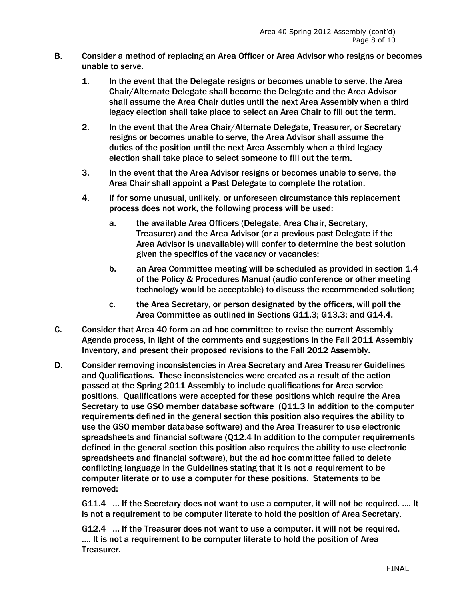- B. Consider a method of replacing an Area Officer or Area Advisor who resigns or becomes unable to serve.
	- 1. In the event that the Delegate resigns or becomes unable to serve, the Area Chair/Alternate Delegate shall become the Delegate and the Area Advisor shall assume the Area Chair duties until the next Area Assembly when a third legacy election shall take place to select an Area Chair to fill out the term.
	- 2. In the event that the Area Chair/Alternate Delegate, Treasurer, or Secretary resigns or becomes unable to serve, the Area Advisor shall assume the duties of the position until the next Area Assembly when a third legacy election shall take place to select someone to fill out the term.
	- 3. In the event that the Area Advisor resigns or becomes unable to serve, the Area Chair shall appoint a Past Delegate to complete the rotation.
	- 4. If for some unusual, unlikely, or unforeseen circumstance this replacement process does not work, the following process will be used:
		- a. the available Area Officers (Delegate, Area Chair, Secretary, Treasurer) and the Area Advisor (or a previous past Delegate if the Area Advisor is unavailable) will confer to determine the best solution given the specifics of the vacancy or vacancies;
		- b. an Area Committee meeting will be scheduled as provided in section 1.4 of the Policy & Procedures Manual (audio conference or other meeting technology would be acceptable) to discuss the recommended solution;
		- c. the Area Secretary, or person designated by the officers, will poll the Area Committee as outlined in Sections G11.3; G13.3; and G14.4.
- C. Consider that Area 40 form an ad hoc committee to revise the current Assembly Agenda process, in light of the comments and suggestions in the Fall 2011 Assembly Inventory, and present their proposed revisions to the Fall 2012 Assembly.
- D. Consider removing inconsistencies in Area Secretary and Area Treasurer Guidelines and Qualifications. These inconsistencies were created as a result of the action passed at the Spring 2011 Assembly to include qualifications for Area service positions. Qualifications were accepted for these positions which require the Area Secretary to use GSO member database software (Q11.3 In addition to the computer requirements defined in the general section this position also requires the ability to use the GSO member database software) and the Area Treasurer to use electronic spreadsheets and financial software (Q12.4 In addition to the computer requirements defined in the general section this position also requires the ability to use electronic spreadsheets and financial software), but the ad hoc committee failed to delete conflicting language in the Guidelines stating that it is not a requirement to be computer literate or to use a computer for these positions. Statements to be removed:

G11.4 … If the Secretary does not want to use a computer, it will not be required. …. It is not a requirement to be computer literate to hold the position of Area Secretary.

G12.4 … If the Treasurer does not want to use a computer, it will not be required. …. It is not a requirement to be computer literate to hold the position of Area Treasurer.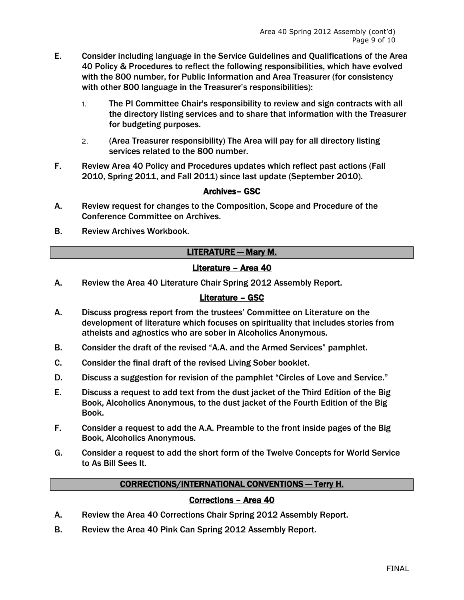- E. Consider including language in the Service Guidelines and Qualifications of the Area 40 Policy & Procedures to reflect the following responsibilities, which have evolved with the 800 number, for Public Information and Area Treasurer (for consistency with other 800 language in the Treasurer's responsibilities):
	- 1. The PI Committee Chair's responsibility to review and sign contracts with all the directory listing services and to share that information with the Treasurer for budgeting purposes.
	- 2. (Area Treasurer responsibility) The Area will pay for all directory listing services related to the 800 number.
- F. Review Area 40 Policy and Procedures updates which reflect past actions (Fall 2010, Spring 2011, and Fall 2011) since last update (September 2010).

# Archives– GSC

- A. Review request for changes to the Composition, Scope and Procedure of the Conference Committee on Archives.
- B. Review Archives Workbook.

# LITERATURE ― Mary M.

# Literature – Area 40

A. Review the Area 40 Literature Chair Spring 2012 Assembly Report.

# Literature – GSC

- A. Discuss progress report from the trustees' Committee on Literature on the development of literature which focuses on spirituality that includes stories from atheists and agnostics who are sober in Alcoholics Anonymous.
- B. Consider the draft of the revised "A.A. and the Armed Services" pamphlet.
- C. Consider the final draft of the revised Living Sober booklet.
- D. Discuss a suggestion for revision of the pamphlet "Circles of Love and Service."
- E. Discuss a request to add text from the dust jacket of the Third Edition of the Big Book, Alcoholics Anonymous, to the dust jacket of the Fourth Edition of the Big Book.
- F. Consider a request to add the A.A. Preamble to the front inside pages of the Big Book, Alcoholics Anonymous.
- G. Consider a request to add the short form of the Twelve Concepts for World Service to As Bill Sees It.

## CORRECTIONS/INTERNATIONAL CONVENTIONS ― Terry H.

# Corrections – Area 40

- A. Review the Area 40 Corrections Chair Spring 2012 Assembly Report.
- B. Review the Area 40 Pink Can Spring 2012 Assembly Report.